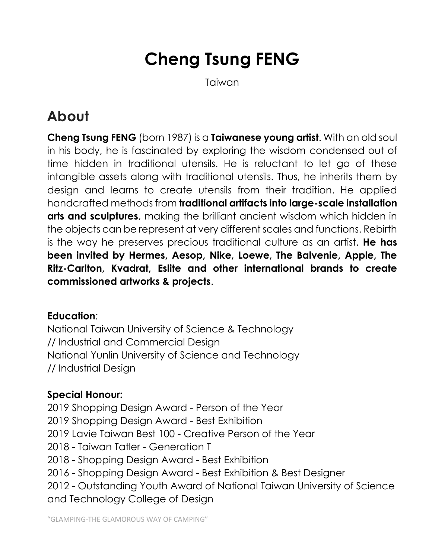# **Cheng Tsung FENG**

Taiwan

## **About**

**Cheng Tsung FENG** (born 1987) is a **Taiwanese young artist**. With an old soul in his body, he is fascinated by exploring the wisdom condensed out of time hidden in traditional utensils. He is reluctant to let go of these intangible assets along with traditional utensils. Thus, he inherits them by design and learns to create utensils from their tradition. He applied handcrafted methods from **traditional artifacts into large-scale installation arts and sculptures**, making the brilliant ancient wisdom which hidden in the objects can be represent at very different scales and functions. Rebirth is the way he preserves precious traditional culture as an artist. **He has been invited by Hermes, Aesop, Nike, Loewe, The Balvenie, Apple, The Ritz-Carlton, Kvadrat, Eslite and other international brands to create commissioned artworks & projects**.

#### **Education**:

National Taiwan University of Science & Technology // Industrial and Commercial Design National Yunlin University of Science and Technology // Industrial Design

#### **Special Honour:**

2019 Shopping Design Award - Person of the Year 2019 Shopping Design Award - Best Exhibition 2019 Lavie Taiwan Best 100 - Creative Person of the Year 2018 - Taiwan Tatler - Generation T 2018 - Shopping Design Award - Best Exhibition 2016 - Shopping Design Award - Best Exhibition & Best Designer 2012 - Outstanding Youth Award of National Taiwan University of Science and Technology College of Design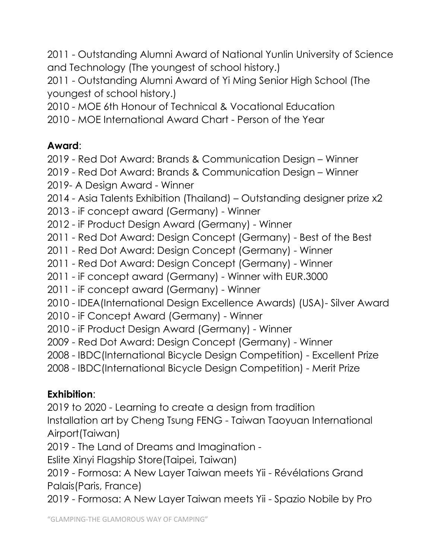2011 - Outstanding Alumni Award of National Yunlin University of Science and Technology (The youngest of school history.)

2011 - Outstanding Alumni Award of Yi Ming Senior High School (The youngest of school history.)

2010 - MOE 6th Honour of Technical & Vocational Education

2010 - MOE International Award Chart - Person of the Year

#### **Award**:

2019 - Red Dot Award: Brands & Communication Design – Winner

- 2019 Red Dot Award: Brands & Communication Design Winner
- 2019- A Design Award Winner
- 2014 Asia Talents Exhibition (Thailand) Outstanding designer prize x2
- 2013 iF concept award (Germany) Winner
- 2012 iF Product Design Award (Germany) Winner
- 2011 Red Dot Award: Design Concept (Germany) Best of the Best
- 2011 Red Dot Award: Design Concept (Germany) Winner
- 2011 Red Dot Award: Design Concept (Germany) Winner
- 2011 iF concept award (Germany) Winner with EUR.3000
- 2011 iF concept award (Germany) Winner
- 2010 IDEA(International Design Excellence Awards) (USA)- Silver Award
- 2010 iF Concept Award (Germany) Winner
- 2010 iF Product Design Award (Germany) Winner
- 2009 Red Dot Award: Design Concept (Germany) Winner
- 2008 IBDC(International Bicycle Design Competition) Excellent Prize
- 2008 IBDC(International Bicycle Design Competition) Merit Prize

### **Exhibition**:

2019 to 2020 - Learning to create a design from tradition

Installation art by Cheng Tsung FENG - Taiwan Taoyuan International Airport(Taiwan)

2019 - The Land of Dreams and Imagination -

Eslite Xinyi Flagship Store(Taipei, Taiwan)

2019 - Formosa: A New Layer Taiwan meets Yii - Révélations Grand Palais(Paris, France)

2019 - Formosa: A New Layer Taiwan meets Yii - Spazio Nobile by Pro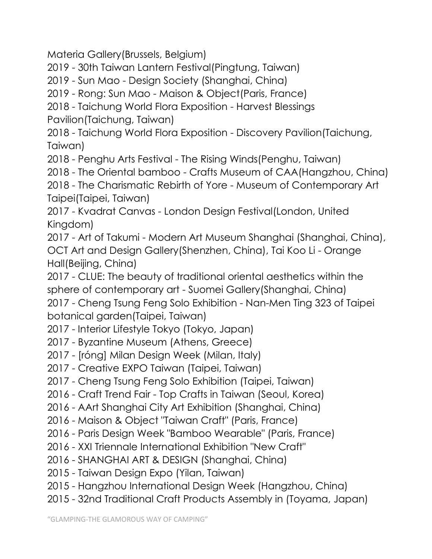Materia Gallery(Brussels, Belgium)

2019 - 30th Taiwan Lantern Festival(Pingtung, Taiwan)

2019 - Sun Mao - Design Society (Shanghai, China)

2019 - Rong: Sun Mao - Maison & Object(Paris, France)

2018 - Taichung World Flora Exposition - Harvest Blessings

Pavilion(Taichung, Taiwan)

2018 - Taichung World Flora Exposition - Discovery Pavilion(Taichung, Taiwan)

2018 - Penghu Arts Festival - The Rising Winds(Penghu, Taiwan)

2018 - The Oriental bamboo - Crafts Museum of CAA(Hangzhou, China)

2018 - The Charismatic Rebirth of Yore - Museum of Contemporary Art Taipei(Taipei, Taiwan)

2017 - Kvadrat Canvas - London Design Festival(London, United Kingdom)

2017 - Art of Takumi - Modern Art Museum Shanghai (Shanghai, China), OCT Art and Design Gallery(Shenzhen, China), Tai Koo Li - Orange Hall(Beijing, China)

2017 - CLUE: The beauty of traditional oriental aesthetics within the sphere of contemporary art - Suomei Gallery(Shanghai, China) 2017 - Cheng Tsung Feng Solo Exhibition - Nan-Men Ting 323 of Taipei botanical garden(Taipei, Taiwan)

- 2017 Interior Lifestyle Tokyo (Tokyo, Japan)
- 2017 Byzantine Museum (Athens, Greece)
- 2017 [róng] Milan Design Week (Milan, Italy)
- 2017 Creative EXPO Taiwan (Taipei, Taiwan)
- 2017 Cheng Tsung Feng Solo Exhibition (Taipei, Taiwan)

2016 - Craft Trend Fair - Top Crafts in Taiwan (Seoul, Korea)

- 2016 AArt Shanghai City Art Exhibition (Shanghai, China)
- 2016 Maison & Object "Taiwan Craft" (Paris, France)
- 2016 Paris Design Week "Bamboo Wearable" (Paris, France)
- 2016 XXI Triennale International Exhibition "New Craft"
- 2016 SHANGHAI ART & DESIGN (Shanghai, China)
- 2015 Taiwan Design Expo (Yilan, Taiwan)
- 2015 Hangzhou International Design Week (Hangzhou, China)
- 2015 32nd Traditional Craft Products Assembly in (Toyama, Japan)